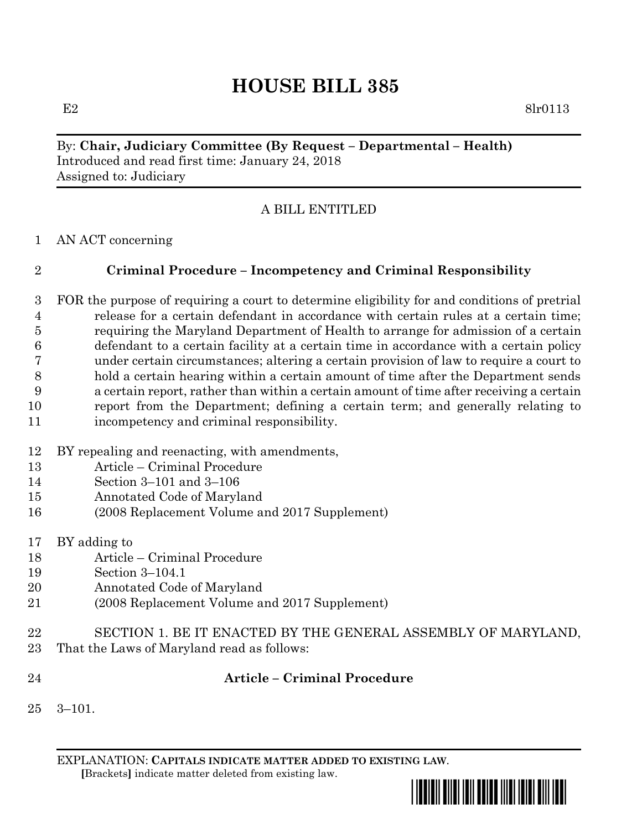# **HOUSE BILL 385**

 $E2 \qquad \qquad 8 \text{lr}0113$ 

By: **Chair, Judiciary Committee (By Request – Departmental – Health)** Introduced and read first time: January 24, 2018 Assigned to: Judiciary

# A BILL ENTITLED

AN ACT concerning

# **Criminal Procedure – Incompetency and Criminal Responsibility**

 FOR the purpose of requiring a court to determine eligibility for and conditions of pretrial release for a certain defendant in accordance with certain rules at a certain time; requiring the Maryland Department of Health to arrange for admission of a certain defendant to a certain facility at a certain time in accordance with a certain policy under certain circumstances; altering a certain provision of law to require a court to hold a certain hearing within a certain amount of time after the Department sends a certain report, rather than within a certain amount of time after receiving a certain report from the Department; defining a certain term; and generally relating to incompetency and criminal responsibility.

- BY repealing and reenacting, with amendments,
- Article Criminal Procedure
- Section 3–101 and 3–106
- Annotated Code of Maryland
- (2008 Replacement Volume and 2017 Supplement)
- BY adding to
- Article Criminal Procedure
- Section 3–104.1
- Annotated Code of Maryland
- (2008 Replacement Volume and 2017 Supplement)
- SECTION 1. BE IT ENACTED BY THE GENERAL ASSEMBLY OF MARYLAND,
- That the Laws of Maryland read as follows:
- 

## **Article – Criminal Procedure**

3–101.

EXPLANATION: **CAPITALS INDICATE MATTER ADDED TO EXISTING LAW**.  **[**Brackets**]** indicate matter deleted from existing law.

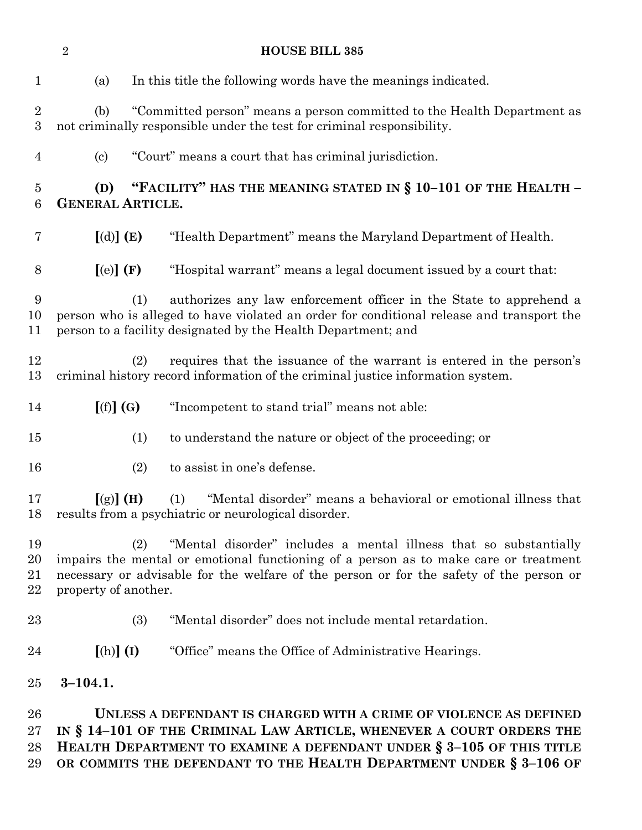| $\sqrt{2}$<br><b>HOUSE BILL 385</b> |                                                                                                                                                                                                                                                                                     |                                                                                                                                                                                                                                                                                         |
|-------------------------------------|-------------------------------------------------------------------------------------------------------------------------------------------------------------------------------------------------------------------------------------------------------------------------------------|-----------------------------------------------------------------------------------------------------------------------------------------------------------------------------------------------------------------------------------------------------------------------------------------|
| $\mathbf{1}$                        | (a)                                                                                                                                                                                                                                                                                 | In this title the following words have the meanings indicated.                                                                                                                                                                                                                          |
| $\sqrt{2}$<br>$\boldsymbol{3}$      | (b)                                                                                                                                                                                                                                                                                 | "Committed person" means a person committed to the Health Department as<br>not criminally responsible under the test for criminal responsibility.                                                                                                                                       |
| 4                                   | $\left( \mathrm{c}\right)$                                                                                                                                                                                                                                                          | "Court" means a court that has criminal jurisdiction.                                                                                                                                                                                                                                   |
| $\overline{5}$<br>6                 | "FACILITY" HAS THE MEANING STATED IN $\S 10-101$ OF THE HEALTH -<br>(D)<br><b>GENERAL ARTICLE.</b>                                                                                                                                                                                  |                                                                                                                                                                                                                                                                                         |
| 7                                   | [(d)] (E)                                                                                                                                                                                                                                                                           | "Health Department" means the Maryland Department of Health.                                                                                                                                                                                                                            |
| 8                                   | [(e)](F)                                                                                                                                                                                                                                                                            | "Hospital warrant" means a legal document issued by a court that:                                                                                                                                                                                                                       |
| 9<br>10<br>11                       | authorizes any law enforcement officer in the State to apprehend a<br>(1)<br>person who is alleged to have violated an order for conditional release and transport the<br>person to a facility designated by the Health Department; and                                             |                                                                                                                                                                                                                                                                                         |
| 12<br>13                            | (2)                                                                                                                                                                                                                                                                                 | requires that the issuance of the warrant is entered in the person's<br>criminal history record information of the criminal justice information system.                                                                                                                                 |
| 14                                  | [(f)](G)                                                                                                                                                                                                                                                                            | "Incompetent to stand trial" means not able:                                                                                                                                                                                                                                            |
| 15                                  | (1)                                                                                                                                                                                                                                                                                 | to understand the nature or object of the proceeding; or                                                                                                                                                                                                                                |
| 16                                  | (2)                                                                                                                                                                                                                                                                                 | to assist in one's defense.                                                                                                                                                                                                                                                             |
| 17<br>18                            | $[(g)]$ (H)                                                                                                                                                                                                                                                                         | "Mental disorder" means a behavioral or emotional illness that<br>(1)<br>results from a psychiatric or neurological disorder.                                                                                                                                                           |
| 19<br>20<br>21<br>22                | "Mental disorder" includes a mental illness that so substantially<br>(2)<br>impairs the mental or emotional functioning of a person as to make care or treatment<br>necessary or advisable for the welfare of the person or for the safety of the person or<br>property of another. |                                                                                                                                                                                                                                                                                         |
| 23                                  | (3)                                                                                                                                                                                                                                                                                 | "Mental disorder" does not include mental retardation.                                                                                                                                                                                                                                  |
| 24                                  | $[(h)]$ $(I)$                                                                                                                                                                                                                                                                       | "Office" means the Office of Administrative Hearings.                                                                                                                                                                                                                                   |
| 25                                  | $3 - 104.1.$                                                                                                                                                                                                                                                                        |                                                                                                                                                                                                                                                                                         |
| 26<br>27<br>28<br>29                |                                                                                                                                                                                                                                                                                     | UNLESS A DEFENDANT IS CHARGED WITH A CRIME OF VIOLENCE AS DEFINED<br>IN § 14-101 OF THE CRIMINAL LAW ARTICLE, WHENEVER A COURT ORDERS THE<br>HEALTH DEPARTMENT TO EXAMINE A DEFENDANT UNDER § 3-105 OF THIS TITLE<br>OR COMMITS THE DEFENDANT TO THE HEALTH DEPARTMENT UNDER § 3-106 OF |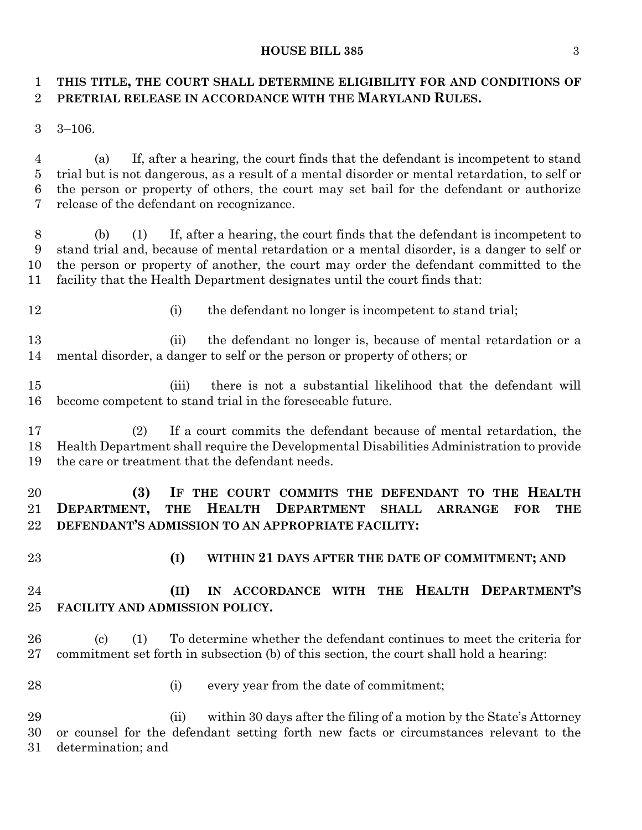#### **HOUSE BILL 385** 3

## **THIS TITLE, THE COURT SHALL DETERMINE ELIGIBILITY FOR AND CONDITIONS OF PRETRIAL RELEASE IN ACCORDANCE WITH THE MARYLAND RULES.**

3–106.

 (a) If, after a hearing, the court finds that the defendant is incompetent to stand trial but is not dangerous, as a result of a mental disorder or mental retardation, to self or the person or property of others, the court may set bail for the defendant or authorize release of the defendant on recognizance.

 (b) (1) If, after a hearing, the court finds that the defendant is incompetent to stand trial and, because of mental retardation or a mental disorder, is a danger to self or the person or property of another, the court may order the defendant committed to the facility that the Health Department designates until the court finds that:

- 
- 12 (i) the defendant no longer is incompetent to stand trial;

 (ii) the defendant no longer is, because of mental retardation or a mental disorder, a danger to self or the person or property of others; or

 (iii) there is not a substantial likelihood that the defendant will become competent to stand trial in the foreseeable future.

 (2) If a court commits the defendant because of mental retardation, the Health Department shall require the Developmental Disabilities Administration to provide the care or treatment that the defendant needs.

 **(3) IF THE COURT COMMITS THE DEFENDANT TO THE HEALTH DEPARTMENT, THE HEALTH DEPARTMENT SHALL ARRANGE FOR THE DEFENDANT'S ADMISSION TO AN APPROPRIATE FACILITY:**

#### **(I) WITHIN 21 DAYS AFTER THE DATE OF COMMITMENT; AND**

## **(II) IN ACCORDANCE WITH THE HEALTH DEPARTMENT'S FACILITY AND ADMISSION POLICY.**

 (c) (1) To determine whether the defendant continues to meet the criteria for commitment set forth in subsection (b) of this section, the court shall hold a hearing:

- 
- (i) every year from the date of commitment;

29 (ii) within 30 days after the filing of a motion by the State's Attorney or counsel for the defendant setting forth new facts or circumstances relevant to the determination; and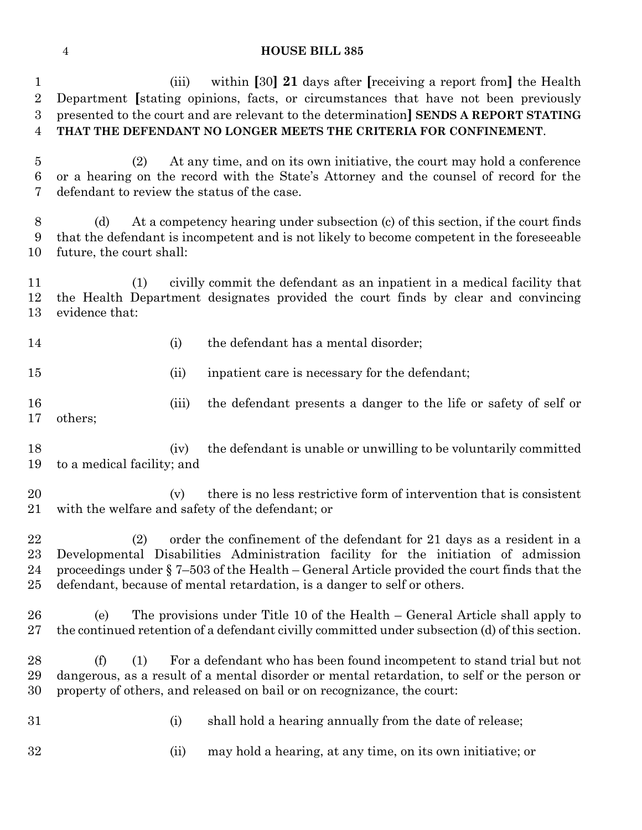## **HOUSE BILL 385**

| $\mathbf{1}$<br>$\overline{2}$<br>3<br>$\overline{4}$ | within $[30]$ 21 days after [receiving a report from] the Health<br>(iii)<br>Department [stating opinions, facts, or circumstances that have not been previously<br>presented to the court and are relevant to the determination] SENDS A REPORT STATING<br>THAT THE DEFENDANT NO LONGER MEETS THE CRITERIA FOR CONFINEMENT.                     |
|-------------------------------------------------------|--------------------------------------------------------------------------------------------------------------------------------------------------------------------------------------------------------------------------------------------------------------------------------------------------------------------------------------------------|
| $\overline{5}$<br>6<br>7                              | At any time, and on its own initiative, the court may hold a conference<br>(2)<br>or a hearing on the record with the State's Attorney and the counsel of record for the<br>defendant to review the status of the case.                                                                                                                          |
| 8<br>9<br>10                                          | At a competency hearing under subsection (c) of this section, if the court finds<br>(d)<br>that the defendant is incompetent and is not likely to become competent in the foreseeable<br>future, the court shall:                                                                                                                                |
| 11<br>12<br>13                                        | civilly commit the defendant as an inpatient in a medical facility that<br>(1)<br>the Health Department designates provided the court finds by clear and convincing<br>evidence that:                                                                                                                                                            |
| 14                                                    | the defendant has a mental disorder;<br>(i)                                                                                                                                                                                                                                                                                                      |
| 15                                                    | inpatient care is necessary for the defendant;<br>(ii)                                                                                                                                                                                                                                                                                           |
| 16<br>17                                              | the defendant presents a danger to the life or safety of self or<br>(iii)<br>others;                                                                                                                                                                                                                                                             |
| 18<br>19                                              | the defendant is unable or unwilling to be voluntarily committed<br>(iv)<br>to a medical facility; and                                                                                                                                                                                                                                           |
| 20<br>21                                              | there is no less restrictive form of intervention that is consistent<br>(v)<br>with the welfare and safety of the defendant; or                                                                                                                                                                                                                  |
| 22<br>$^{23}$<br>24<br>25                             | (2)<br>order the confinement of the defendant for 21 days as a resident in a<br>Developmental Disabilities Administration facility for the initiation of admission<br>proceedings under $\S 7-503$ of the Health – General Article provided the court finds that the<br>defendant, because of mental retardation, is a danger to self or others. |
| 26<br>$27\,$                                          | The provisions under Title 10 of the Health – General Article shall apply to<br>(e)<br>the continued retention of a defendant civilly committed under subsection (d) of this section.                                                                                                                                                            |
| 28<br>29<br>30                                        | (f)<br>For a defendant who has been found incompetent to stand trial but not<br>(1)<br>dangerous, as a result of a mental disorder or mental retardation, to self or the person or<br>property of others, and released on bail or on recognizance, the court:                                                                                    |
| 31                                                    | shall hold a hearing annually from the date of release;<br>(i)                                                                                                                                                                                                                                                                                   |
| $32\,$                                                | (ii)<br>may hold a hearing, at any time, on its own initiative; or                                                                                                                                                                                                                                                                               |